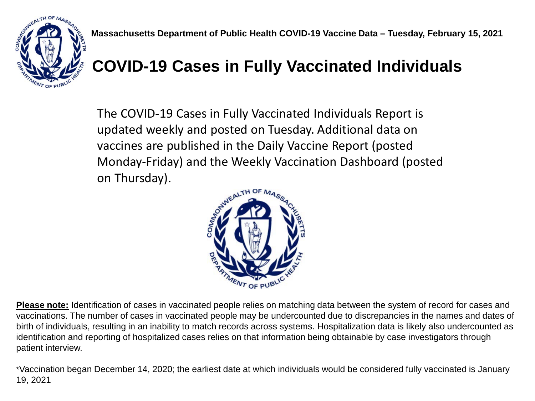

## **COVID-19 Cases in Fully Vaccinated Individuals**

The COVID-19 Cases in Fully Vaccinated Individuals Report is updated weekly and posted on Tuesday. Additional data on vaccines are published in the Daily Vaccine Report (posted Monday-Friday) and the Weekly Vaccination Dashboard (posted on Thursday).



**Please note:** Identification of cases in vaccinated people relies on matching data between the system of record for cases and vaccinations. The number of cases in vaccinated people may be undercounted due to discrepancies in the names and dates of birth of individuals, resulting in an inability to match records across systems. Hospitalization data is likely also undercounted as identification and reporting of hospitalized cases relies on that information being obtainable by case investigators through patient interview.

\*Vaccination began December 14, 2020; the earliest date at which individuals would be considered fully vaccinated is January 19, 2021